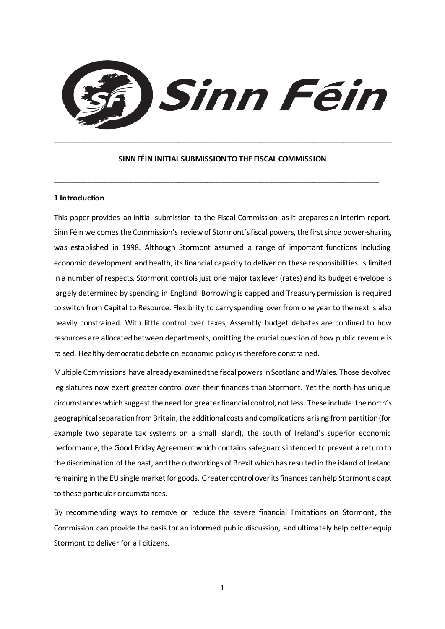

#### **SINN FÉIN INITIAL SUBMISSION TO THE FISCAL COMMISSION**

**\_\_\_\_\_\_\_\_\_\_\_\_\_\_\_\_\_\_\_\_\_\_\_\_\_\_\_\_\_\_\_\_\_\_\_\_\_\_\_\_\_\_\_\_\_\_\_\_\_\_\_\_\_\_\_\_\_\_\_\_\_\_\_\_\_\_\_\_\_\_\_\_\_\_\_\_\_\_\_**

**\_\_\_\_\_\_\_\_\_\_\_\_\_\_\_\_\_\_\_\_\_\_\_\_\_\_\_\_\_\_\_\_\_\_\_\_\_\_\_\_\_\_\_\_\_\_\_\_\_\_\_\_\_\_\_\_\_\_\_\_\_\_\_\_\_\_\_\_\_\_\_\_\_\_\_\_\_\_\_\_\_\_**

### **1 Introduction**

This paper provides an initial submission to the Fiscal Commission as it prepares an interim report. Sinn Féin welcomes the Commission's review of Stormont's fiscal powers, the first since power-sharing was established in 1998. Although Stormont assumed a range of important functions including economic development and health, itsfinancial capacity to deliver on these responsibilities is limited in a number of respects. Stormont controls just one major tax lever (rates) and its budget envelope is largely determined by spending in England. Borrowing is capped and Treasury permission is required to switch from Capital to Resource. Flexibility to carry spending over from one year to the next is also heavily constrained. With little control over taxes, Assembly budget debates are confined to how resources are allocated between departments, omitting the crucial question of how public revenue is raised. Healthy democratic debate on economic policy is therefore constrained.

Multiple Commissions have already examined the fiscal powers in Scotland and Wales. Those devolved legislatures now exert greater control over their finances than Stormont. Yet the north has unique circumstances which suggest the need for greater financial control, not less. These include the north's geographical separation from Britain, the additional costs and complications arising from partition (for example two separate tax systems on a small island), the south of Ireland's superior economic performance, the Good Friday Agreement which contains safeguards intended to prevent a return to the discrimination of the past, and the outworkings of Brexit which has resulted in the island of Ireland remaining in the EU single market for goods. Greater control over its finances can help Stormont adapt to these particular circumstances.

By recommending ways to remove or reduce the severe financial limitations on Stormont, the Commission can provide the basis for an informed public discussion, and ultimately help better equip Stormont to deliver for all citizens.

1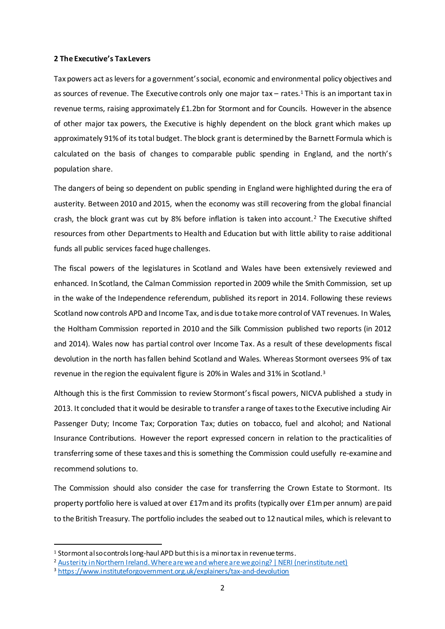### **2 The Executive's Tax Levers**

Tax powers act as levers for a government's social, economic and environmental policy objectives and as sources of revenue. The Executive controls only one major tax – rates.<sup>1</sup> This is an important tax in revenue terms, raising approximately £1.2bn for Stormont and for Councils. However in the absence of other major tax powers, the Executive is highly dependent on the block grant which makes up approximately 91% of its total budget. The block grant is determined by the Barnett Formula which is calculated on the basis of changes to comparable public spending in England, and the north's population share.

The dangers of being so dependent on public spending in England were highlighted during the era of austerity. Between 2010 and 2015, when the economy was still recovering from the global financial crash, the block grant was cut by 8% before inflation is taken into account.<sup>2</sup> The Executive shifted resources from other Departments to Health and Education but with little ability to raise additional funds all public services faced huge challenges.

The fiscal powers of the legislatures in Scotland and Wales have been extensively reviewed and enhanced. In Scotland, the Calman Commission reported in 2009 while the Smith Commission, set up in the wake of the Independence referendum, published its report in 2014. Following these reviews Scotland now controls APD and Income Tax, and is due to take more control of VAT revenues. In Wales, the Holtham Commission reported in 2010 and the Silk Commission published two reports (in 2012 and 2014). Wales now has partial control over Income Tax. As a result of these developments fiscal devolution in the north has fallen behind Scotland and Wales. Whereas Stormont oversees 9% of tax revenue in the region the equivalent figure is 20% in Wales and 31% in Scotland.<sup>3</sup>

Although this is the first Commission to review Stormont's fiscal powers, NICVA published a study in 2013. It concluded that it would be desirable to transfer a range of taxes to the Executive including Air Passenger Duty; Income Tax; Corporation Tax; duties on tobacco, fuel and alcohol; and National Insurance Contributions. However the report expressed concern in relation to the practicalities of transferring some of these taxes and this is something the Commission could usefully re-examine and recommend solutions to.

The Commission should also consider the case for transferring the Crown Estate to Stormont. Its property portfolio here is valued at over £17m and its profits (typically over £1m per annum) are paid to the British Treasury. The portfolio includes the seabed out to 12 nautical miles, which is relevant to

 $\overline{a}$ 

<sup>&</sup>lt;sup>1</sup> Stormont also controls long-haul APD but this is a minor tax in revenue terms.

<sup>&</sup>lt;sup>2</sup> [Austerity in Northern Ireland. Where are we and where are we going? | NERI \(nerinstitute.net\)](https://www.nerinstitute.net/blog/austerity-northern-ireland-where-are-we-and-where-are-we-going)

<sup>3</sup> <https://www.instituteforgovernment.org.uk/explainers/tax-and-devolution>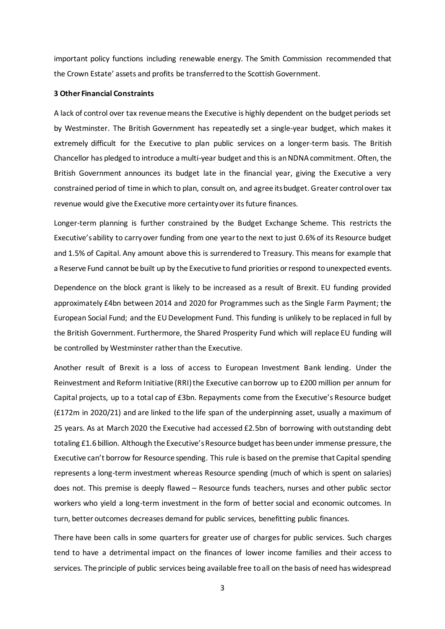important policy functions including renewable energy. The Smith Commission recommended that the Crown Estate' assets and profits be transferred to the Scottish Government.

# **3 Other Financial Constraints**

A lack of control over tax revenue means the Executive is highly dependent on the budget periods set by Westminster. The British Government has repeatedly set a single-year budget, which makes it extremely difficult for the Executive to plan public services on a longer-term basis. The British Chancellor has pledged to introduce a multi-year budget and this is an NDNA commitment. Often, the British Government announces its budget late in the financial year, giving the Executive a very constrained period of time in which to plan, consult on, and agree its budget. Greater control over tax revenue would give the Executive more certainty over its future finances.

Longer-term planning is further constrained by the Budget Exchange Scheme. This restricts the Executive's ability to carry over funding from one year to the next to just 0.6% of its Resource budget and 1.5% of Capital. Any amount above this is surrendered to Treasury. This means for example that a Reserve Fund cannot be built up by the Executive to fund priorities or respond to unexpected events.

Dependence on the block grant is likely to be increased as a result of Brexit. EU funding provided approximately £4bn between 2014 and 2020 for Programmes such as the Single Farm Payment; the European Social Fund; and the EU Development Fund. This funding is unlikely to be replaced in full by the British Government. Furthermore, the Shared Prosperity Fund which will replace EU funding will be controlled by Westminster rather than the Executive.

Another result of Brexit is a loss of access to European Investment Bank lending. Under the Reinvestment and Reform Initiative (RRI) the Executive can borrow up to £200 million per annum for Capital projects, up to a total cap of £3bn. Repayments come from the Executive's Resource budget (£172m in 2020/21) and are linked to the life span of the underpinning asset, usually a maximum of 25 years. As at March 2020 the Executive had accessed £2.5bn of borrowing with outstanding debt totaling £1.6 billion. Although the Executive's Resource budget has been under immense pressure, the Executive can't borrow for Resource spending. This rule is based on the premise that Capital spending represents a long-term investment whereas Resource spending (much of which is spent on salaries) does not. This premise is deeply flawed – Resource funds teachers, nurses and other public sector workers who yield a long-term investment in the form of better social and economic outcomes. In turn, better outcomes decreases demand for public services, benefitting public finances.

There have been calls in some quarters for greater use of charges for public services. Such charges tend to have a detrimental impact on the finances of lower income families and their access to services. The principle of public services being available free to all on the basis of need has widespread

3